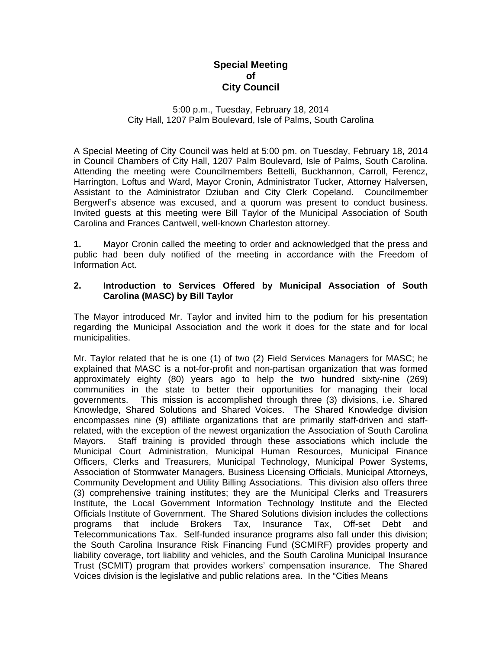# **Special Meeting of City Council**

### 5:00 p.m., Tuesday, February 18, 2014 City Hall, 1207 Palm Boulevard, Isle of Palms, South Carolina

A Special Meeting of City Council was held at 5:00 pm. on Tuesday, February 18, 2014 in Council Chambers of City Hall, 1207 Palm Boulevard, Isle of Palms, South Carolina. Attending the meeting were Councilmembers Bettelli, Buckhannon, Carroll, Ferencz, Harrington, Loftus and Ward, Mayor Cronin, Administrator Tucker, Attorney Halversen, Assistant to the Administrator Dziuban and City Clerk Copeland. Councilmember Bergwerf's absence was excused, and a quorum was present to conduct business. Invited guests at this meeting were Bill Taylor of the Municipal Association of South Carolina and Frances Cantwell, well-known Charleston attorney.

**1.** Mayor Cronin called the meeting to order and acknowledged that the press and public had been duly notified of the meeting in accordance with the Freedom of Information Act.

### **2. Introduction to Services Offered by Municipal Association of South Carolina (MASC) by Bill Taylor**

The Mayor introduced Mr. Taylor and invited him to the podium for his presentation regarding the Municipal Association and the work it does for the state and for local municipalities.

Mr. Taylor related that he is one (1) of two (2) Field Services Managers for MASC; he explained that MASC is a not-for-profit and non-partisan organization that was formed approximately eighty (80) years ago to help the two hundred sixty-nine (269) communities in the state to better their opportunities for managing their local governments. This mission is accomplished through three (3) divisions, i.e. Shared Knowledge, Shared Solutions and Shared Voices. The Shared Knowledge division encompasses nine (9) affiliate organizations that are primarily staff-driven and staffrelated, with the exception of the newest organization the Association of South Carolina Mayors. Staff training is provided through these associations which include the Municipal Court Administration, Municipal Human Resources, Municipal Finance Officers, Clerks and Treasurers, Municipal Technology, Municipal Power Systems, Association of Stormwater Managers, Business Licensing Officials, Municipal Attorneys, Community Development and Utility Billing Associations. This division also offers three (3) comprehensive training institutes; they are the Municipal Clerks and Treasurers Institute, the Local Government Information Technology Institute and the Elected Officials Institute of Government. The Shared Solutions division includes the collections programs that include Brokers Tax, Insurance Tax, Off-set Debt and Telecommunications Tax. Self-funded insurance programs also fall under this division; the South Carolina Insurance Risk Financing Fund (SCMIRF) provides property and liability coverage, tort liability and vehicles, and the South Carolina Municipal Insurance Trust (SCMIT) program that provides workers' compensation insurance. The Shared Voices division is the legislative and public relations area. In the "Cities Means